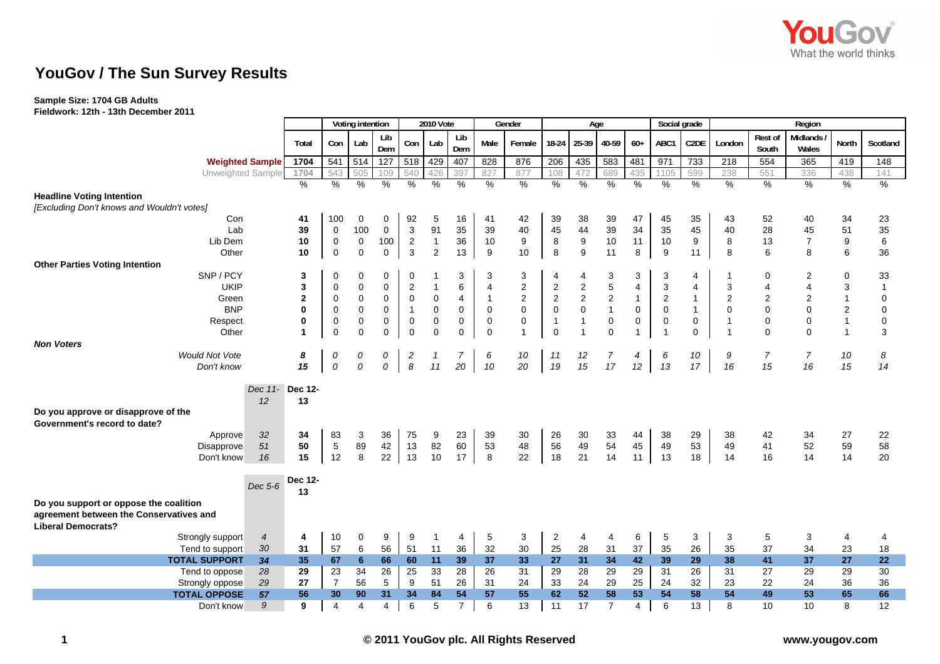

# **YouGov / The Sun Survey Results**

### **Sample Size: 1704 GB Adults**

**Fieldwork: 12th - 13th December 2011**

|                                                    |                | Voting intention |                  |                         | 2010 Vote   |                  | Gender         |                     |                |                  | Age                     |              |                  | Social grade | Region           |                |                |                  |                         |                  |                   |
|----------------------------------------------------|----------------|------------------|------------------|-------------------------|-------------|------------------|----------------|---------------------|----------------|------------------|-------------------------|--------------|------------------|--------------|------------------|----------------|----------------|------------------|-------------------------|------------------|-------------------|
|                                                    |                | Total            | Con              | Lab                     | Lib<br>Dem  | Con              | Lab            | Lib<br>Dem          | Male           | Female           | $18-24$                 |              | 25-39 40-59      | $60+$        | ABC1             | C2DE           | London         | Rest of<br>South | Midlands<br>Wales       | <b>North</b>     | Scotland          |
| <b>Weighted Sample</b>                             |                | 1704             | 541              | 514                     | 127         | 518              | 429            | 407                 | 828            | 876              | 206                     | 435          | 583              | 481          | 971              | 733            | 218            | 554              | 365                     | 419              | 148               |
| Unweighted Sample                                  |                | 1704             | 543              | 505                     | 109         | 540              | 426            | 397                 | 827            | 877              | 108                     | 472          | 689              | 435          | 1105             | 599            | 238            | 551              | 336                     | 438              | 141               |
|                                                    |                | %                | $\%$             | $\%$                    | %           | $\%$             | $\%$           | $\%$                | $\frac{0}{0}$  | $\%$             | %                       | $\%$         | %                | $\%$         | %                | $\%$           | $\frac{0}{0}$  | %                | %                       | $\%$             | $\%$              |
| <b>Headline Voting Intention</b>                   |                |                  |                  |                         |             |                  |                |                     |                |                  |                         |              |                  |              |                  |                |                |                  |                         |                  |                   |
| [Excluding Don't knows and Wouldn't votes]         |                |                  |                  |                         |             |                  |                |                     |                |                  |                         |              |                  |              |                  |                |                |                  |                         |                  |                   |
| Con                                                |                | 41               | 100              | $\mathbf 0$             | 0           | 92               | 5              | 16                  | 41             | 42               | 39                      | 38           | 39               | 47           | 45               | 35             | 43             | 52               | 40                      | 34               | 23                |
| Lab                                                |                | 39               | $\pmb{0}$        | 100                     | $\mathbf 0$ | 3                | 91             | 35                  | 39             | 40               | 45                      | 44           | 39               | 34           | 35               | 45             | 40             | 28               | 45                      | 51               | 35                |
| Lib Dem                                            |                | 10               | $\boldsymbol{0}$ | 0                       | 100         | $\overline{2}$   | $\overline{1}$ | 36                  | 10             | 9                | 8                       | 9            | $10$             | 11           | 10               | 9              | 8              | 13               | $\overline{7}$          | 9                | 6                 |
| Other                                              |                | 10               | $\pmb{0}$        | $\mathbf 0$             | $\mathbf 0$ | $\mathbf{3}$     | $\overline{2}$ | 13                  | 9              | 10               | 8                       | 9            | 11               | 8            | $\boldsymbol{9}$ | 11             | 8              | 6                | 8                       | 6                | 36                |
| <b>Other Parties Voting Intention</b><br>SNP / PCY |                | 3                | $\mathbf 0$      | 0                       |             | 0                |                | 3                   | 3              |                  | 4                       | 4            | 3                |              |                  | 4              |                | $\Omega$         | 2                       | $\mathbf 0$      | 33                |
| <b>UKIP</b>                                        |                | 3                | $\pmb{0}$        | 0                       | 0<br>0      | $\overline{2}$   | $\overline{1}$ | 6                   | $\overline{4}$ | 3<br>$\mathbf 2$ | 2                       | 2            | $\mathbf 5$      | 3<br>4       | 3<br>3           | 4              | 3              | $\overline{4}$   | $\overline{\mathbf{4}}$ | 3                | 1                 |
| Green                                              |                | $\mathbf{2}$     | $\mathbf 0$      | 0                       | 0           | $\mathbf 0$      | 0              | 4                   | $\overline{1}$ | $\overline{c}$   | $\overline{\mathbf{c}}$ | $\sqrt{2}$   | $\boldsymbol{2}$ | $\mathbf{1}$ | $\overline{c}$   | $\mathbf{1}$   | $\overline{2}$ | $\overline{2}$   | $\overline{2}$          | $\mathbf{1}$     | $\mathbf 0$       |
| <b>BNP</b>                                         |                | 0                | $\pmb{0}$        | $\mathbf 0$             | $\mathbf 0$ | $\mathbf{1}$     | $\mathsf 0$    | $\mathsf{O}\xspace$ | $\mathbf 0$    | $\pmb{0}$        | $\mathsf 0$             | $\pmb{0}$    | $\overline{1}$   | 0            | $\pmb{0}$        | $\mathbf{1}$   | $\mathbf 0$    | $\pmb{0}$        | $\pmb{0}$               | $\boldsymbol{2}$ | 0                 |
| Respect                                            |                | 0                | $\pmb{0}$        | 0                       | 0           | $\boldsymbol{0}$ | 0              | 0                   | 0              | 0                | $\mathbf{1}$            | $\mathbf{1}$ | $\pmb{0}$        | 0            | $\pmb{0}$        | $\mathbf 0$    | $\overline{1}$ | $\mathbf 0$      | $\pmb{0}$               | $\mathbf{1}$     | 0                 |
| Other                                              |                | 1                | $\mathbf 0$      | $\Omega$                | 0           | $\pmb{0}$        | $\mathbf 0$    | $\mathbf 0$         | $\mathbf 0$    | $\overline{1}$   | $\mathbf 0$             | 1            | $\mathbf 0$      | $\mathbf{1}$ | $\overline{1}$   | $\overline{0}$ |                | $\Omega$         | $\Omega$                | $\mathbf{1}$     | 3                 |
| <b>Non Voters</b>                                  |                |                  |                  |                         |             |                  |                |                     |                |                  |                         |              |                  |              |                  |                |                |                  |                         |                  |                   |
| <b>Would Not Vote</b>                              |                | 8                | 0                | 0                       | 0           | 2                | $\mathcal I$   | 7                   | 6              | 10               | 11                      | 12           | 7                | 4            | 6                | 10             | 9              | $\overline{7}$   | $\overline{7}$          | 10               | 8                 |
| Don't know                                         |                | 15               | ${\cal O}$       | 0                       | 0           | $\boldsymbol{8}$ | 11             | 20                  | 10             | 20               | 19                      | 15           | 17               | 12           | 13               | 17             | 16             | 15               | 16                      | 15               | 14                |
|                                                    |                |                  |                  |                         |             |                  |                |                     |                |                  |                         |              |                  |              |                  |                |                |                  |                         |                  |                   |
|                                                    | Dec 11-        | <b>Dec 12-</b>   |                  |                         |             |                  |                |                     |                |                  |                         |              |                  |              |                  |                |                |                  |                         |                  |                   |
|                                                    | 12             | 13               |                  |                         |             |                  |                |                     |                |                  |                         |              |                  |              |                  |                |                |                  |                         |                  |                   |
| Do you approve or disapprove of the                |                |                  |                  |                         |             |                  |                |                     |                |                  |                         |              |                  |              |                  |                |                |                  |                         |                  |                   |
| Government's record to date?                       |                |                  |                  |                         |             |                  |                |                     |                |                  |                         |              |                  |              |                  |                |                |                  |                         |                  |                   |
| Approve                                            | 32             | 34               | 83               | 3                       | 36          | 75               | 9              | 23                  | 39             | 30               | 26                      | 30           | 33               | 44           | 38               | 29             | 38             | 42               | 34                      | 27               | 22                |
| Disapprove                                         | 51             | 50               | $\,$ 5 $\,$      | 89                      | 42          | 13               | 82             | 60                  | 53             | 48               | 56                      | 49           | 54               | 45           | 49               | 53             | 49             | 41               | 52                      | 59               | 58                |
| Don't know                                         | 16             | 15               | 12               | 8                       | 22          | 13               | 10             | 17                  | 8              | 22               | 18                      | 21           | 14               | 11           | 13               | 18             | 14             | 16               | 14                      | 14               | 20                |
|                                                    |                | Dec 12-          |                  |                         |             |                  |                |                     |                |                  |                         |              |                  |              |                  |                |                |                  |                         |                  |                   |
|                                                    | Dec 5-6        | 13               |                  |                         |             |                  |                |                     |                |                  |                         |              |                  |              |                  |                |                |                  |                         |                  |                   |
| Do you support or oppose the coalition             |                |                  |                  |                         |             |                  |                |                     |                |                  |                         |              |                  |              |                  |                |                |                  |                         |                  |                   |
| agreement between the Conservatives and            |                |                  |                  |                         |             |                  |                |                     |                |                  |                         |              |                  |              |                  |                |                |                  |                         |                  |                   |
| <b>Liberal Democrats?</b>                          |                |                  |                  |                         |             |                  |                |                     |                |                  |                         |              |                  |              |                  |                |                |                  |                         |                  |                   |
| Strongly support                                   | $\overline{4}$ | 4                | 10               | 0                       | 9           | 9                | $\overline{1}$ | 4                   | 5              | 3                | $\overline{2}$          | 4            | $\overline{4}$   | 6            | 5                | 3              | 3              | 5                | 3                       | 4                | 4                 |
| Tend to support                                    | 30             | 31               | 57               | 6                       | 56          | 51               | 11             | 36                  | 32             | 30               | 25                      | 28           | 31               | 37           | 35               | 26             | 35             | 37               | 34                      | 23               | 18                |
| <b>TOTAL SUPPORT</b>                               | 34             | 35               | 67               | 6                       | 66          | 60               | 11             | 39                  | 37             | 33               | 27                      | 31           | 34               | 42           | 39               | 29             | 38             | 41               | 37                      | 27               | $22 \overline{ }$ |
| Tend to oppose                                     | 28             | 29               | 23               | 34                      | 26          | 25               | 33             | 28                  | 26             | 31               | 29                      | 28           | 29               | 29           | 31               | 26             | 31             | 27               | 29                      | 29               | 30                |
| Strongly oppose                                    | 29             | 27               | $\overline{7}$   | 56                      | 5           | 9                | 51             | 26                  | 31             | 24               | 33                      | 24           | 29               | 25           | 24               | 32             | 23             | 22               | 24                      | 36               | 36                |
| <b>TOTAL OPPOSE</b>                                | 57             | 56               | 30               | 90                      | 31          | 34               | 84             | 54                  | 57             | 55               | 62                      | 52           | 58               | 53           | 54               | 58             | 54             | 49               | 53                      | 65               | 66                |
| Don't know                                         | 9              | 9                | $\overline{4}$   | $\overline{\mathbf{4}}$ | 4           | 6                | 5              | $\overline{7}$      | 6              | 13               | 11                      | 17           | $\overline{7}$   | 4            | 6                | 13             | 8              | 10               | 10                      | 8                | 12                |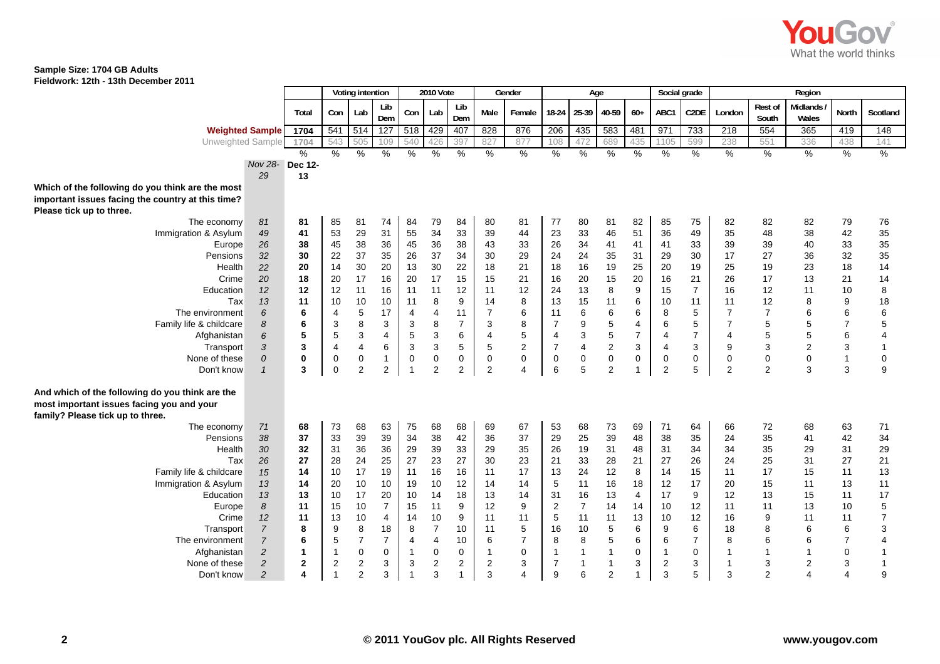

#### **Sample Size: 1704 GB Adults Fieldwork: 12th - 13th December 2011**

| FIEIUWUI N. TZUT - TJUT DECEITIDEI ZUTT |                        |                  |     |           |            |     |          |            |      |        |                         |     |              |          |          |                   |          |                         |                  |
|-----------------------------------------|------------------------|------------------|-----|-----------|------------|-----|----------|------------|------|--------|-------------------------|-----|--------------|----------|----------|-------------------|----------|-------------------------|------------------|
|                                         |                        | Voting intention |     | 2010 Vote |            |     |          | Gender     | Age  |        |                         |     | Social grade |          | Regior   |                   |          |                         |                  |
|                                         |                        | Total            | Con | Lab I     | Lib<br>Dem | Con | Lab      | Lib<br>Dem | Male | Female | $18-24$ 25-39 40-59 60+ |     |              |          | ABC1     | C <sub>2</sub> DE | London   | <b>Rest of</b><br>South | Midland<br>Wales |
|                                         | <b>Weighted Sample</b> | 1704             | 541 | 514 127   |            | 518 | 429 407  |            | 828  | 876    | 206                     | 435 | 583          | 481      | 971      | 733               | 218      | 554                     | 365              |
|                                         | Unweighted Sample      | 1704             |     | 543 505   |            | 540 |          |            |      | 877    |                         |     | 689          | 435      | 1105     | 599               | 238      | 551                     | 336              |
|                                         |                        | $\Omega$         | 07  | $\Omega$  |            | 07  | $\Omega$ |            |      |        | 07                      |     | $\Omega$     | $\Omega$ | $\Omega$ | 07                | $\Omega$ | $\Omega$                | $\Omega$         |

|                                                                                              |                        | Total        | Con            | Lab            | Lib<br>Dem       | Con            | Lab                     | Lib<br>Dem     | Male                    | Female         | 18-24            | 25-39                   | 40-59            | $60+$          | ABC1                    | C <sub>2</sub> DE | London         | Rest of<br>South | Midlands<br>Wales | <b>North</b>   | Scotland       |
|----------------------------------------------------------------------------------------------|------------------------|--------------|----------------|----------------|------------------|----------------|-------------------------|----------------|-------------------------|----------------|------------------|-------------------------|------------------|----------------|-------------------------|-------------------|----------------|------------------|-------------------|----------------|----------------|
|                                                                                              | <b>Weighted Sample</b> | 1704         | 541            | 514            | $\overline{127}$ | 518            | 429                     | 407            | 828                     | 876            | 206              | 435                     | 583              | 481            | 971                     | 733               | 218            | 554              | 365               | 419            | 148            |
| Unweighted Sample                                                                            |                        | 1704         | 543            | 505            | 109              | 540            | 426                     | 397            | 827                     | 877            | 108              | 472                     | 689              | 435            | 1105                    | 599               | 238            | 551              | 336               | 438            | 141            |
|                                                                                              |                        | %            | %              | $\%$           | $\frac{0}{0}$    | %              | $\%$                    | $\frac{0}{0}$  | %                       | %              | %                | $\%$                    | $\%$             | $\%$           | $\frac{0}{0}$           | $\%$              | $\%$           | $\%$             | %                 | $\%$           | $\frac{9}{6}$  |
|                                                                                              | Nov 28- Dec 12-<br>29  |              |                |                |                  |                |                         |                |                         |                |                  |                         |                  |                |                         |                   |                |                  |                   |                |                |
|                                                                                              |                        | 13           |                |                |                  |                |                         |                |                         |                |                  |                         |                  |                |                         |                   |                |                  |                   |                |                |
| Which of the following do you think are the most                                             |                        |              |                |                |                  |                |                         |                |                         |                |                  |                         |                  |                |                         |                   |                |                  |                   |                |                |
| important issues facing the country at this time?                                            |                        |              |                |                |                  |                |                         |                |                         |                |                  |                         |                  |                |                         |                   |                |                  |                   |                |                |
| Please tick up to three.<br>The economy                                                      | 81                     | 81           | 85             | 81             | 74               | 84             | 79                      | 84             | 80                      | 81             | 77               | 80                      | 81               | 82             | 85                      | 75                | 82             | 82               | 82                | 79             | 76             |
| Immigration & Asylum                                                                         | 49                     | 41           | 53             | 29             | 31               | 55             | 34                      | 33             | 39                      | 44             | 23               | 33                      | 46               | 51             | 36                      | 49                | 35             | 48               | 38                | 42             | 35             |
| Europe                                                                                       | 26                     | 38           | 45             | 38             | 36               | 45             | 36                      | 38             | 43                      | 33             | 26               | 34                      | 41               | 41             | 41                      | 33                | 39             | 39               | 40                | 33             | 35             |
| Pensions                                                                                     | 32                     | 30           | 22             | 37             | 35               | 26             | 37                      | 34             | 30                      | 29             | 24               | 24                      | 35               | 31             | 29                      | 30                | 17             | 27               | 36                | 32             | 35             |
| Health                                                                                       | 22                     | 20           | 14             | 30             | 20               | 13             | 30                      | 22             | 18                      | 21             | 18               | 16                      | 19               | 25             | 20                      | 19                | 25             | 19               | 23                | 18             | 14             |
| Crime                                                                                        | 20                     | 18           | 20             | 17             | 16               | 20             | 17                      | 15             | 15                      | 21             | 16               | 20                      | 15               | 20             | 16                      | 21                | 26             | 17               | 13                | 21             | 14             |
| Education                                                                                    | 12                     | 12           | 12             | 11             | 16               | 11             | 11                      | 12             | 11                      | 12             | 24               | 13                      | 8                | 9              | 15                      | $\overline{7}$    | 16             | 12               | 11                | 10             | 8              |
| Tax                                                                                          | 13                     | 11           | 10             | 10             | 10               | 11             | 8                       | 9              | 14                      | 8              | 13               | 15                      | 11               | 6              | 10                      | 11                | 11             | 12               | 8                 | 9              | 18             |
| The environment                                                                              | 6                      | 6            | $\overline{4}$ | 5              | 17               | $\overline{4}$ | 4                       | 11             | $\overline{7}$          | 6              | 11               | 6                       | 6                | 6              | 8                       | 5                 | $\overline{7}$ | $\overline{7}$   | 6                 | 6              | 6              |
| Family life & childcare                                                                      | 8                      | 6            | 3              | 8              | 3                | 3              | 8                       | $\overline{7}$ | 3                       | 8              | $\boldsymbol{7}$ | 9                       | 5                | $\overline{4}$ | 6                       | 5                 | $\overline{7}$ | 5                | 5                 | $\overline{7}$ | 5              |
| Afghanistan                                                                                  | 6                      | 5            | 5              | 3              | 4                | 5              | 3                       | 6              | $\overline{\mathbf{4}}$ | 5              | $\overline{4}$   | 3                       | 5                | $\overline{7}$ | 4                       | $\overline{7}$    | 4              | 5                | 5                 | 6              | 4              |
| Transport                                                                                    | 3                      | 3            | $\overline{4}$ | $\overline{4}$ | 6                | 3              | 3                       | 5              | 5                       | 2              | $\overline{7}$   | $\overline{\mathbf{4}}$ | $\boldsymbol{2}$ | 3              | 4                       | 3                 | 9              | 3                | $\overline{c}$    | 3              | $\overline{1}$ |
| None of these                                                                                | 0                      | $\mathbf 0$  | $\mathbf 0$    | 0              | 1                | $\mathbf 0$    | 0                       | 0              | $\mathbf 0$             | 0              | 0                | $\mathbf 0$             | 0                | 0              | 0                       | 0                 | 0              | $\mathbf 0$      | 0                 | $\mathbf{1}$   | 0              |
| Don't know                                                                                   | $\mathcal{I}$          | 3            | $\pmb{0}$      | $\overline{2}$ | 2                | $\overline{1}$ | 2                       | $\overline{2}$ | $\overline{2}$          | 4              | 6                | 5                       | $\overline{2}$   | $\mathbf{1}$   | $\overline{\mathbf{c}}$ | 5                 | 2              | $\overline{2}$   | 3                 | 3              | 9              |
| And which of the following do you think are the<br>most important issues facing you and your |                        |              |                |                |                  |                |                         |                |                         |                |                  |                         |                  |                |                         |                   |                |                  |                   |                |                |
| family? Please tick up to three.<br>The economy                                              | 71                     | 68           | 73             | 68             | 63               | 75             | 68                      | 68             | 69                      | 67             | 53               | 68                      | 73               | 69             | 71                      | 64                | 66             | 72               | 68                | 63             | 71             |
| Pensions                                                                                     | 38                     | 37           | 33             | 39             | 39               | 34             | 38                      | 42             | 36                      | 37             | 29               | 25                      | 39               | 48             | 38                      | 35                | 24             | 35               | 41                | 42             | 34             |
| Health                                                                                       | 30                     | 32           | 31             | 36             | 36               | 29             | 39                      | 33             | 29                      | 35             | 26               | 19                      | 31               | 48             | 31                      | 34                | 34             | 35               | 29                | 31             | 29             |
| Tax                                                                                          | 26                     | 27           | 28             | 24             | 25               | 27             | 23                      | 27             | 30                      | 23             | 21               | 33                      | 28               | 21             | 27                      | 26                | 24             | 25               | 31                | 27             | 21             |
| Family life & childcare                                                                      | 15                     | 14           | 10             | 17             | 19               | 11             | 16                      | 16             | 11                      | 17             | 13               | 24                      | 12               | 8              | 14                      | 15                | 11             | 17               | 15                | 11             | 13             |
| Immigration & Asylum                                                                         | 13                     | 14           | 20             | 10             | 10               | 19             | 10                      | 12             | 14                      | 14             | 5                | 11                      | 16               | 18             | 12                      | 17                | 20             | 15               | 11                | 13             | 11             |
| Education                                                                                    | 13                     | 13           | 10             | 17             | 20               | 10             | 14                      | 18             | 13                      | 14             | 31               | 16                      | 13               | $\overline{4}$ | 17                      | 9                 | 12             | 13               | 15                | 11             | 17             |
| Europe                                                                                       | 8                      | 11           | 15             | 10             | $\overline{7}$   | 15             | 11                      | 9              | 12                      | 9              | $\overline{2}$   | $\overline{7}$          | 14               | 14             | 10                      | 12                | 11             | 11               | 13                | 10             | 5              |
| Crime                                                                                        | 12                     | 11           | 13             | 10             | 4                | 14             | $10$                    | 9              | 11                      | 11             | $\mathbf 5$      | 11                      | 11               | 13             | 10                      | 12                | 16             | 9                | 11                | 11             | $\overline{7}$ |
| Transport                                                                                    | $\boldsymbol{7}$       | 8            | 9              | 8              | 18               | 8              | $\overline{7}$          | 10             | 11                      | 5              | 16               | 10                      | 5                | 6              | 9                       | 6                 | 18             | 8                | 6                 | 6              | 3              |
| The environment                                                                              | $\overline{7}$         | 6            | 5              | $\overline{7}$ | $\overline{7}$   | $\overline{4}$ | 4                       | 10             | 6                       | $\overline{7}$ | 8                | 8                       | 5                | 6              | 6                       | $\overline{7}$    | 8              | 6                | 6                 | $\overline{7}$ |                |
| Afghanistan                                                                                  | $\overline{c}$         |              | $\mathbf{1}$   | $\mathbf 0$    | 0                |                | 0                       | $\mathbf 0$    |                         | $\mathbf 0$    | $\mathbf 1$      | $\mathbf{1}$            | 1                | $\mathbf 0$    | -1                      | 0                 |                | 1                |                   | $\mathbf 0$    | -1             |
| None of these                                                                                | $\overline{c}$         | $\mathbf{2}$ | $\sqrt{2}$     | $\mathbf{2}$   | 3                | 3              | $\overline{\mathbf{c}}$ | 2              | $\sqrt{2}$              | 3              | $\overline{7}$   | $\mathbf{1}$            | $\mathbf{1}$     | 3              | $\overline{\mathbf{c}}$ | 3                 | 1              | 3                | $\overline{2}$    | 3              | $\overline{1}$ |
| Don't know                                                                                   | $\overline{2}$         | 4            | $\mathbf{1}$   | $\overline{2}$ | 3                | $\overline{1}$ | 3                       |                | 3                       | 4              | 9                | 6                       | $\overline{2}$   | $\overline{1}$ | 3                       | 5                 | 3              | $\overline{2}$   | 4                 | $\overline{4}$ | 9              |